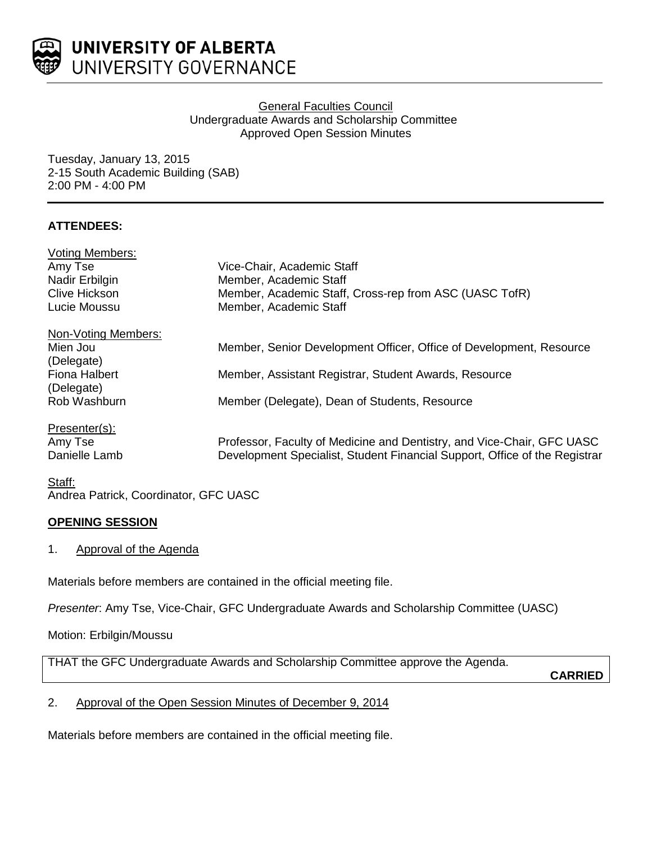

# General Faculties Council Undergraduate Awards and Scholarship Committee Approved Open Session Minutes

Tuesday, January 13, 2015 2-15 South Academic Building (SAB) 2:00 PM - 4:00 PM

# **ATTENDEES:**

| <b>Voting Members:</b> |                                                                            |
|------------------------|----------------------------------------------------------------------------|
| Amy Tse                | Vice-Chair, Academic Staff                                                 |
| Nadir Erbilgin         | Member, Academic Staff                                                     |
| Clive Hickson          | Member, Academic Staff, Cross-rep from ASC (UASC TofR)                     |
| Lucie Moussu           | Member, Academic Staff                                                     |
| Non-Voting Members:    |                                                                            |
| Mien Jou               | Member, Senior Development Officer, Office of Development, Resource        |
| (Delegate)             |                                                                            |
| Fiona Halbert          | Member, Assistant Registrar, Student Awards, Resource                      |
| (Delegate)             |                                                                            |
| Rob Washburn           | Member (Delegate), Dean of Students, Resource                              |
| Presenter(s):          |                                                                            |
| Amy Tse                | Professor, Faculty of Medicine and Dentistry, and Vice-Chair, GFC UASC     |
| Danielle Lamb          | Development Specialist, Student Financial Support, Office of the Registrar |
|                        |                                                                            |

## Staff: Andrea Patrick, Coordinator, GFC UASC

# **OPENING SESSION**

1. Approval of the Agenda

Materials before members are contained in the official meeting file.

*Presenter*: Amy Tse, Vice-Chair, GFC Undergraduate Awards and Scholarship Committee (UASC)

Motion: Erbilgin/Moussu

THAT the GFC Undergraduate Awards and Scholarship Committee approve the Agenda.

**CARRIED**

# 2. Approval of the Open Session Minutes of December 9, 2014

Materials before members are contained in the official meeting file.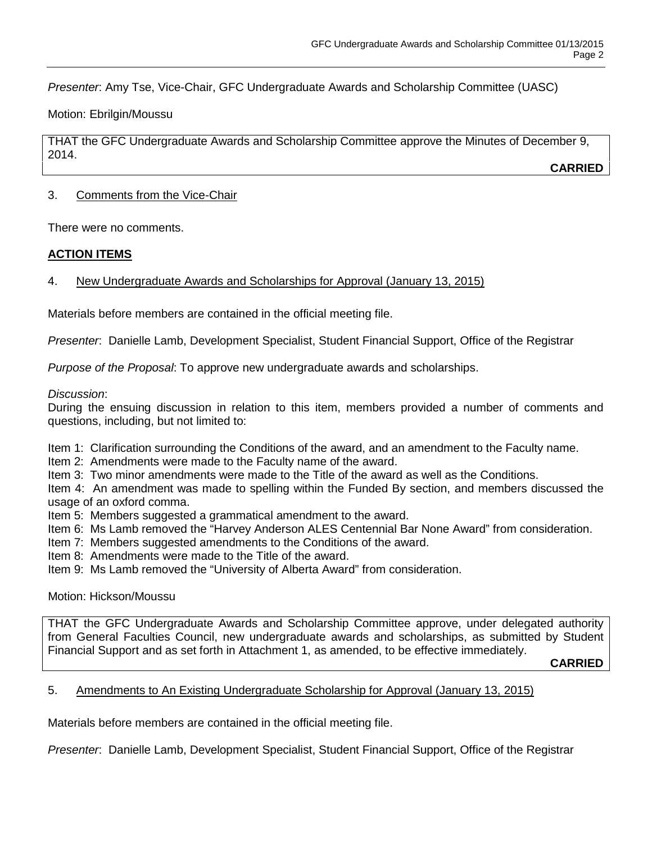*Presenter*: Amy Tse, Vice-Chair, GFC Undergraduate Awards and Scholarship Committee (UASC)

Motion: Ebrilgin/Moussu

THAT the GFC Undergraduate Awards and Scholarship Committee approve the Minutes of December 9, 2014.

**CARRIED**

## 3. Comments from the Vice-Chair

There were no comments.

# **ACTION ITEMS**

# 4. New Undergraduate Awards and Scholarships for Approval (January 13, 2015)

Materials before members are contained in the official meeting file.

*Presenter*: Danielle Lamb, Development Specialist, Student Financial Support, Office of the Registrar

*Purpose of the Proposal*: To approve new undergraduate awards and scholarships.

## *Discussion*:

During the ensuing discussion in relation to this item, members provided a number of comments and questions, including, but not limited to:

Item 1: Clarification surrounding the Conditions of the award, and an amendment to the Faculty name.

Item 2: Amendments were made to the Faculty name of the award.

Item 3: Two minor amendments were made to the Title of the award as well as the Conditions.

Item 4: An amendment was made to spelling within the Funded By section, and members discussed the usage of an oxford comma.

Item 5: Members suggested a grammatical amendment to the award.

- Item 6: Ms Lamb removed the "Harvey Anderson ALES Centennial Bar None Award" from consideration.
- Item 7: Members suggested amendments to the Conditions of the award.
- Item 8: Amendments were made to the Title of the award.
- Item 9: Ms Lamb removed the "University of Alberta Award" from consideration.

Motion: Hickson/Moussu

THAT the GFC Undergraduate Awards and Scholarship Committee approve, under delegated authority from General Faculties Council, new undergraduate awards and scholarships, as submitted by Student Financial Support and as set forth in Attachment 1, as amended, to be effective immediately.

**CARRIED**

# 5. Amendments to An Existing Undergraduate Scholarship for Approval (January 13, 2015)

Materials before members are contained in the official meeting file.

*Presenter*: Danielle Lamb, Development Specialist, Student Financial Support, Office of the Registrar